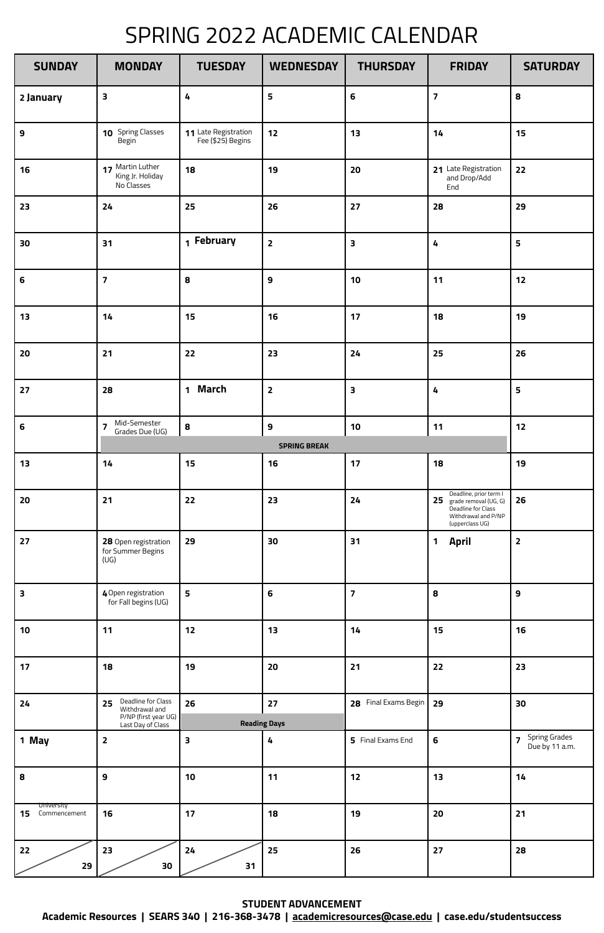## SPRING 2022 ACADEMIC CALENDAR

**STUDENT ADVANCEMENT**

**Academic Resources | SEARS 340 | 216-368-3478 | academicresources@case.edu | case.edu/studentsuccess** 

| <b>SUNDAY</b>                    | <b>MONDAY</b>                                                                           | <b>TUESDAY</b>                            | <b>WEDNESDAY</b>                    | <b>THURSDAY</b>         | <b>FRIDAY</b>                                                                                                         | <b>SATURDAY</b>                   |
|----------------------------------|-----------------------------------------------------------------------------------------|-------------------------------------------|-------------------------------------|-------------------------|-----------------------------------------------------------------------------------------------------------------------|-----------------------------------|
| 2 January                        | 3                                                                                       | 4                                         | 5                                   | $6\phantom{1}6$         | $\overline{\mathbf{z}}$                                                                                               | 8                                 |
| $\boldsymbol{9}$                 | 10 Spring Classes<br>Begin                                                              | 11 Late Registration<br>Fee (\$25) Begins | 12                                  | 13                      | 14                                                                                                                    | 15                                |
| 16                               | 17 Martin Luther<br>King Jr. Holiday<br>No Classes                                      | 18                                        | 19                                  | 20                      | 21 Late Registration<br>and Drop/Add<br>End                                                                           | 22                                |
| 23                               | 24                                                                                      | 25                                        | 26                                  | 27                      | 28                                                                                                                    | 29                                |
| 30                               | 31                                                                                      | 1 February                                | $\overline{2}$                      | 3                       | 4                                                                                                                     | 5                                 |
| $6\phantom{1}$                   | $\overline{\mathbf{z}}$                                                                 | 8                                         | 9                                   | 10                      | 11                                                                                                                    | 12                                |
| 13                               | 14                                                                                      | 15                                        | 16                                  | 17                      | 18                                                                                                                    | 19                                |
| 20                               | 21                                                                                      | 22                                        | 23                                  | 24                      | 25                                                                                                                    | 26                                |
| 27                               | 28                                                                                      | 1 March                                   | $\mathbf{2}$                        | 3                       | 4                                                                                                                     | 5                                 |
| $\boldsymbol{6}$                 | Mid-Semester<br>$\overline{z}$<br>Grades Due (UG)                                       | $\bf{8}$                                  | $\mathbf{9}$<br><b>SPRING BREAK</b> | 10                      | 11                                                                                                                    | 12                                |
| 13                               | 14                                                                                      | 15                                        | 16                                  | 17                      | 18                                                                                                                    | 19                                |
| 20                               | 21                                                                                      | 22                                        | 23                                  | 24                      | Deadline, prior term I<br>25<br>grade removal (UG, G)<br>Deadline for Class<br>Withdrawal and P/NP<br>(upperclass UG) | 26                                |
| 27                               | 28 Open registration<br>for Summer Begins<br>(UG)                                       | 29                                        | 30                                  | 31                      | $\mathbf 1$<br><b>April</b>                                                                                           | $\overline{\mathbf{2}}$           |
| $\overline{\mathbf{3}}$          | 4 Open registration<br>for Fall begins (UG)                                             | $\overline{\mathbf{5}}$                   | 6                                   | $\overline{\mathbf{z}}$ | 8                                                                                                                     | 9                                 |
| 10                               | 11                                                                                      | 12                                        | 13                                  | 14                      | 15                                                                                                                    | 16                                |
| 17                               | 18                                                                                      | 19                                        | 20                                  | 21                      | 22                                                                                                                    | 23                                |
| 24                               | Deadline for Class<br>25<br>Withdrawal and<br>P/NP (first year UG)<br>Last Day of Class | 26                                        | 27<br><b>Reading Days</b>           | 28 Final Exams Begin    | 29                                                                                                                    | 30                                |
| 1 May                            | $\overline{2}$                                                                          | 3                                         | 4                                   | 5 Final Exams End       | 6                                                                                                                     | 7 Spring Grades<br>Due by 11 a.m. |
| 8                                | $\mathbf{9}$                                                                            | 10                                        | 11                                  | 12                      | 13                                                                                                                    | 14                                |
| University<br>Commencement<br>15 | 16                                                                                      | 17                                        | 18                                  | 19                      | 20                                                                                                                    | 21                                |
| $22$<br>29                       | 23<br>30                                                                                | $24$<br>31                                | 25                                  | 26                      | 27                                                                                                                    | 28                                |